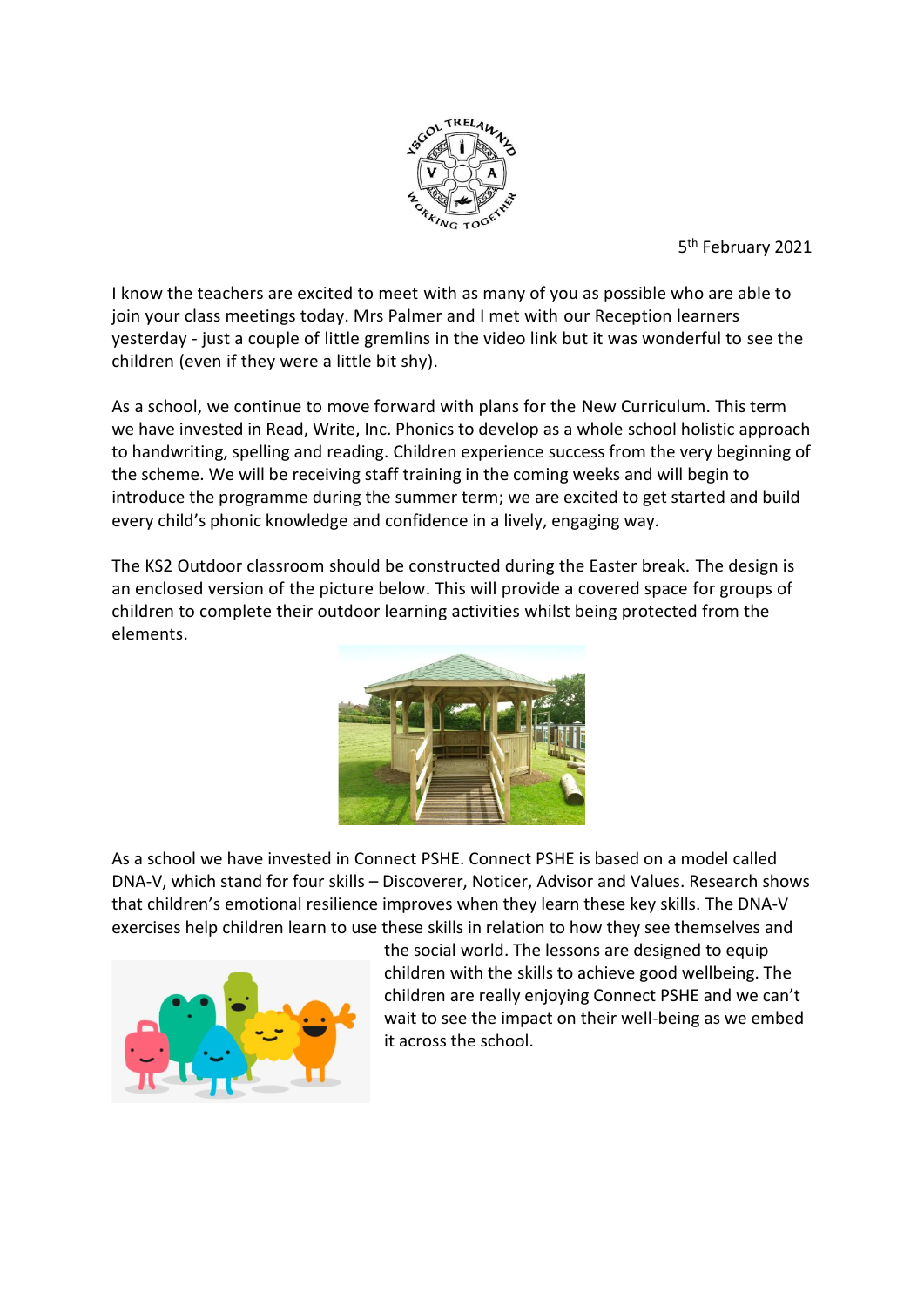

5<sup>th</sup> February 2021

I know the teachers are excited to meet with as many of you as possible who are able to join your class meetings today. Mrs Palmer and I met with our Reception learners yesterday - just a couple of little gremlins in the video link but it was wonderful to see the children (even if they were a little bit shy).

As a school, we continue to move forward with plans for the New Curriculum. This term we have invested in Read, Write, Inc. Phonics to develop as a whole school holistic approach to handwriting, spelling and reading. Children experience success from the very beginning of the scheme. We will be receiving staff training in the coming weeks and will begin to introduce the programme during the summer term; we are excited to get started and build every child's phonic knowledge and confidence in a lively, engaging way.

The KS2 Outdoor classroom should be constructed during the Easter break. The design is an enclosed version of the picture below. This will provide a covered space for groups of children to complete their outdoor learning activities whilst being protected from the elements.



As a school we have invested in Connect PSHE. Connect PSHE is based on a model called DNA-V, which stand for four skills – Discoverer, Noticer, Advisor and Values. Research shows that children's emotional resilience improves when they learn these key skills. The DNA-V exercises help children learn to use these skills in relation to how they see themselves and



the social world. The lessons are designed to equip children with the skills to achieve good wellbeing. The children are really enjoying Connect PSHE and we can't wait to see the impact on their well-being as we embed it across the school.